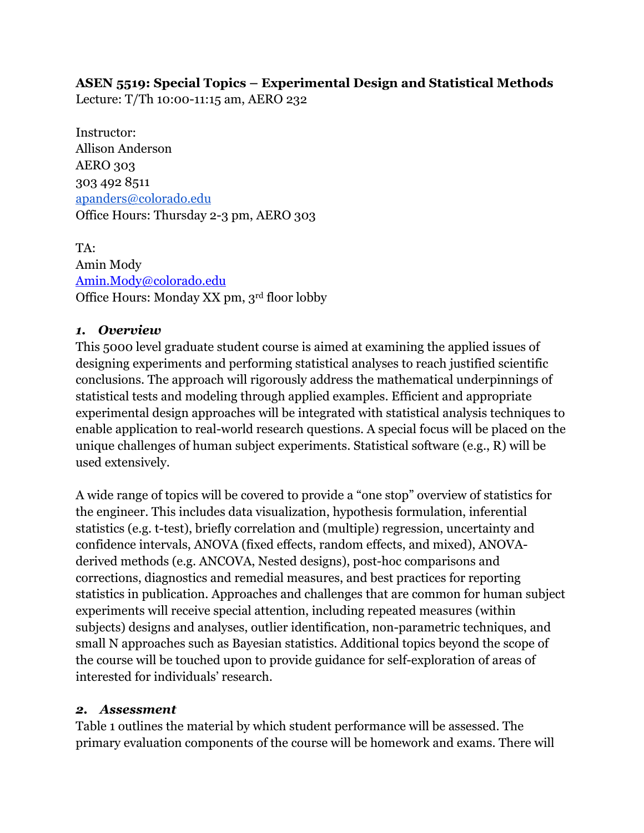## **ASEN 5519: Special Topics – Experimental Design and Statistical Methods**

Lecture: T/Th 10:00-11:15 am, AERO 232

Instructor: Allison Anderson AERO 303 303 492 8511 apanders@colorado.edu Office Hours: Thursday 2-3 pm, AERO 303

TA: Amin Mody Amin.Mody@colorado.edu Office Hours: Monday XX pm, 3rd floor lobby

#### *1. Overview*

This 5000 level graduate student course is aimed at examining the applied issues of designing experiments and performing statistical analyses to reach justified scientific conclusions. The approach will rigorously address the mathematical underpinnings of statistical tests and modeling through applied examples. Efficient and appropriate experimental design approaches will be integrated with statistical analysis techniques to enable application to real-world research questions. A special focus will be placed on the unique challenges of human subject experiments. Statistical software (e.g., R) will be used extensively.

A wide range of topics will be covered to provide a "one stop" overview of statistics for the engineer. This includes data visualization, hypothesis formulation, inferential statistics (e.g. t-test), briefly correlation and (multiple) regression, uncertainty and confidence intervals, ANOVA (fixed effects, random effects, and mixed), ANOVAderived methods (e.g. ANCOVA, Nested designs), post-hoc comparisons and corrections, diagnostics and remedial measures, and best practices for reporting statistics in publication. Approaches and challenges that are common for human subject experiments will receive special attention, including repeated measures (within subjects) designs and analyses, outlier identification, non-parametric techniques, and small N approaches such as Bayesian statistics. Additional topics beyond the scope of the course will be touched upon to provide guidance for self-exploration of areas of interested for individuals' research.

### *2. Assessment*

Table 1 outlines the material by which student performance will be assessed. The primary evaluation components of the course will be homework and exams. There will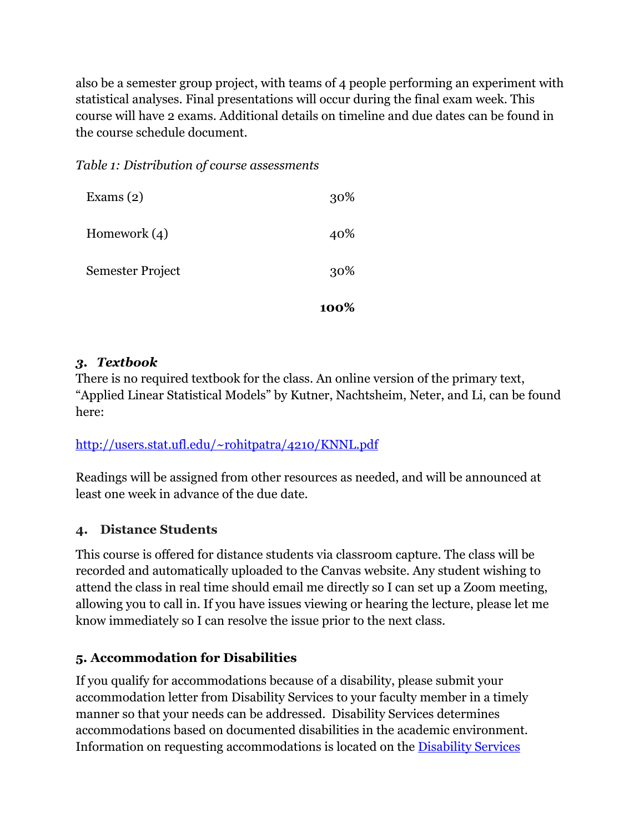also be a semester group project, with teams of 4 people performing an experiment with statistical analyses. Final presentations will occur during the final exam week. This course will have 2 exams. Additional details on timeline and due dates can be found in the course schedule document.

*Table 1: Distribution of course assessments*

|                  | 100% |
|------------------|------|
| Semester Project | 30%  |
| Homework $(4)$   | 40%  |
| Exams $(2)$      | 30%  |

#### *3. Textbook*

There is no required textbook for the class. An online version of the primary text, "Applied Linear Statistical Models" by Kutner, Nachtsheim, Neter, and Li, can be found here:

### http://users.stat.ufl.edu/~rohitpatra/4210/KNNL.pdf

Readings will be assigned from other resources as needed, and will be announced at least one week in advance of the due date.

### **4. Distance Students**

This course is offered for distance students via classroom capture. The class will be recorded and automatically uploaded to the Canvas website. Any student wishing to attend the class in real time should email me directly so I can set up a Zoom meeting, allowing you to call in. If you have issues viewing or hearing the lecture, please let me know immediately so I can resolve the issue prior to the next class.

### **5. Accommodation for Disabilities**

If you qualify for accommodations because of a disability, please submit your accommodation letter from Disability Services to your faculty member in a timely manner so that your needs can be addressed. Disability Services determines accommodations based on documented disabilities in the academic environment. Information on requesting accommodations is located on the Disability Services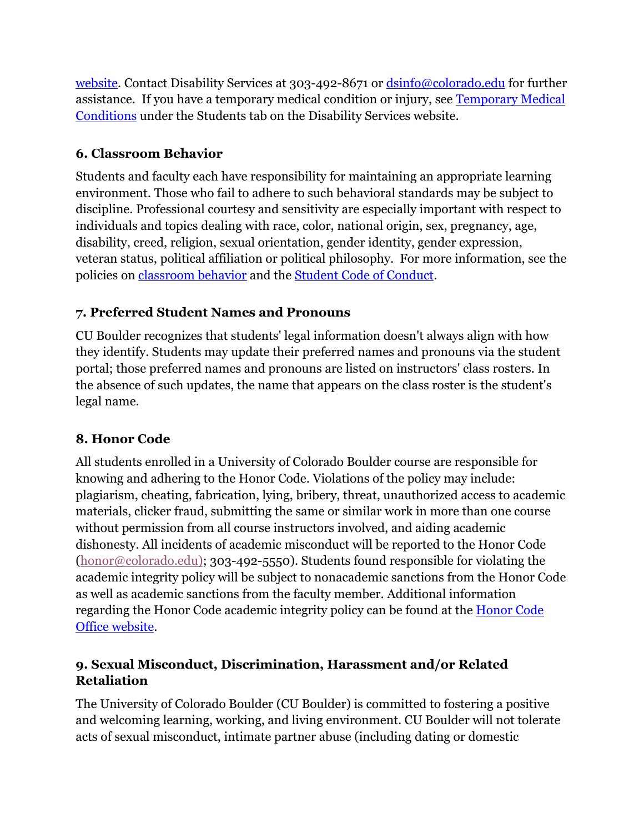website. Contact Disability Services at 303-492-8671 or dsinfo@colorado.edu for further assistance. If you have a temporary medical condition or injury, see Temporary Medical Conditions under the Students tab on the Disability Services website.

## **6. Classroom Behavior**

Students and faculty each have responsibility for maintaining an appropriate learning environment. Those who fail to adhere to such behavioral standards may be subject to discipline. Professional courtesy and sensitivity are especially important with respect to individuals and topics dealing with race, color, national origin, sex, pregnancy, age, disability, creed, religion, sexual orientation, gender identity, gender expression, veteran status, political affiliation or political philosophy. For more information, see the policies on classroom behavior and the Student Code of Conduct.

# **7. Preferred Student Names and Pronouns**

CU Boulder recognizes that students' legal information doesn't always align with how they identify. Students may update their preferred names and pronouns via the student portal; those preferred names and pronouns are listed on instructors' class rosters. In the absence of such updates, the name that appears on the class roster is the student's legal name.

### **8. Honor Code**

All students enrolled in a University of Colorado Boulder course are responsible for knowing and adhering to the Honor Code. Violations of the policy may include: plagiarism, cheating, fabrication, lying, bribery, threat, unauthorized access to academic materials, clicker fraud, submitting the same or similar work in more than one course without permission from all course instructors involved, and aiding academic dishonesty. All incidents of academic misconduct will be reported to the Honor Code (honor@colorado.edu); 303-492-5550). Students found responsible for violating the academic integrity policy will be subject to nonacademic sanctions from the Honor Code as well as academic sanctions from the faculty member. Additional information regarding the Honor Code academic integrity policy can be found at the Honor Code Office website.

### **9. Sexual Misconduct, Discrimination, Harassment and/or Related Retaliation**

The University of Colorado Boulder (CU Boulder) is committed to fostering a positive and welcoming learning, working, and living environment. CU Boulder will not tolerate acts of sexual misconduct, intimate partner abuse (including dating or domestic